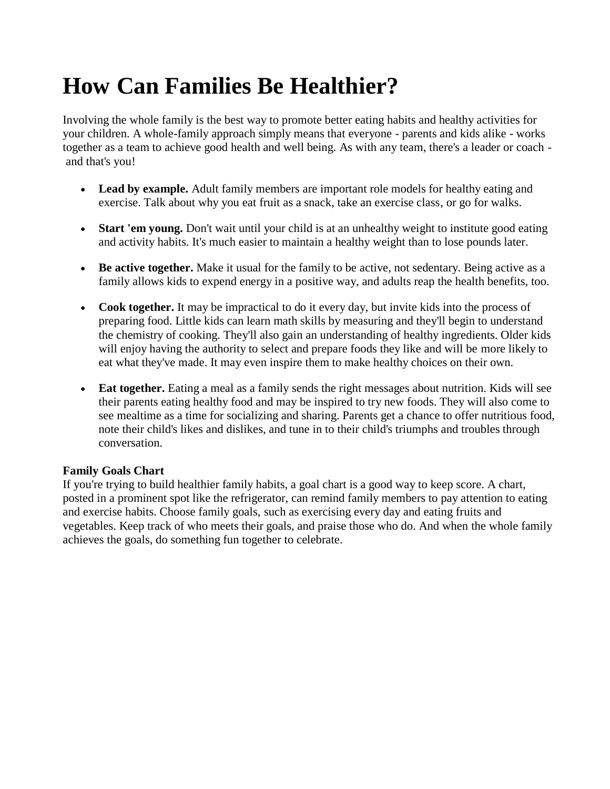## **How Can Families Be Healthier?**

Involving the whole family is the best way to promote better eating habits and healthy activities for your children. A whole-family approach simply means that everyone - parents and kids alike - works together as a team to achieve good health and well being. As with any team, there's a leader or coach and that's you!

- **Lead by example.** Adult family members are important role models for healthy eating and exercise. Talk about why you eat fruit as a snack, take an exercise class, or go for walks.
- **Start 'em young.** Don't wait until your child is at an unhealthy weight to institute good eating and activity habits. It's much easier to maintain a healthy weight than to lose pounds later.
- **Be active together.** Make it usual for the family to be active, not sedentary. Being active as a family allows kids to expend energy in a positive way, and adults reap the health benefits, too.
- **Cook together.** It may be impractical to do it every day, but invite kids into the process of preparing food. Little kids can learn math skills by measuring and they'll begin to understand the chemistry of cooking. They'll also gain an understanding of healthy ingredients. Older kids will enjoy having the authority to select and prepare foods they like and will be more likely to eat what they've made. It may even inspire them to make healthy choices on their own.
- **Eat together.** Eating a meal as a family sends the right messages about nutrition. Kids will see their parents eating healthy food and may be inspired to try new foods. They will also come to see mealtime as a time for socializing and sharing. Parents get a chance to offer nutritious food, note their child's likes and dislikes, and tune in to their child's triumphs and troubles through conversation.

## **Family Goals Chart**

If you're trying to build healthier family habits, a goal chart is a good way to keep score. A chart, posted in a prominent spot like the refrigerator, can remind family members to pay attention to eating and exercise habits. Choose family goals, such as exercising every day and eating fruits and vegetables. Keep track of who meets their goals, and praise those who do. And when the whole family achieves the goals, do something fun together to celebrate.